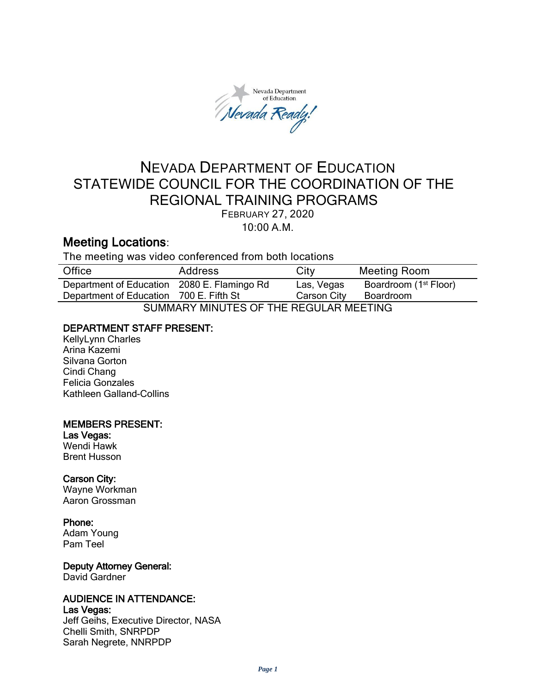Nevada Department of Education levada Ready

# NEVADA DEPARTMENT OF EDUCATION STATEWIDE COUNCIL FOR THE COORDINATION OF THE REGIONAL TRAINING PROGRAMS FEBRUARY 27, 2020 10:00 A.M.

# Meeting Locations:

The meeting was video conferenced from both locations

| Office                                      | <b>Address</b> | City        | <b>Meeting Room</b>               |
|---------------------------------------------|----------------|-------------|-----------------------------------|
| Department of Education 2080 E. Flamingo Rd |                | Las, Vegas  | Boardroom (1 <sup>st</sup> Floor) |
| Department of Education 700 E. Fifth St     |                | Carson City | Boardroom                         |
| SUMMARY MINUTES OF THE REGULAR MEETING      |                |             |                                   |

## DEPARTMENT STAFF PRESENT:

KellyLynn Charles Arina Kazemi Silvana Gorton Cindi Chang Felicia Gonzales Kathleen Galland-Collins

## MEMBERS PRESENT:

## Las Vegas:

Wendi Hawk Brent Husson

## Carson City:

Wayne Workman Aaron Grossman

## Phone:

Adam Young Pam Teel

# Deputy Attorney General:

David Gardner

## AUDIENCE IN ATTENDANCE:

Las Vegas:

Jeff Geihs, Executive Director, NASA Chelli Smith, SNRPDP Sarah Negrete, NNRPDP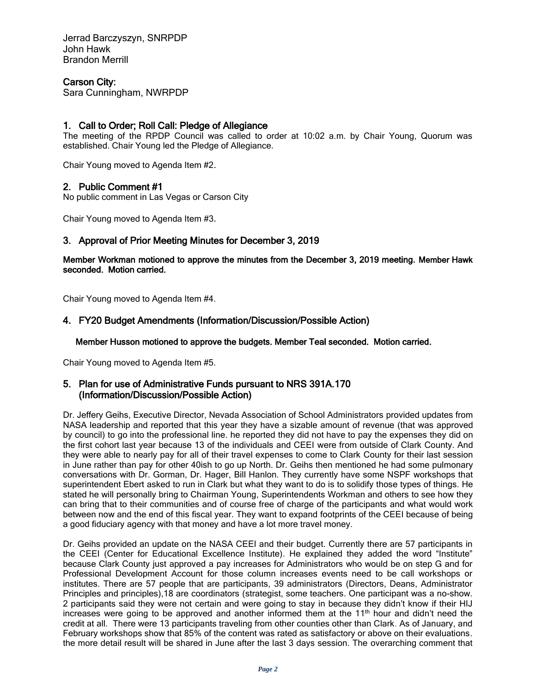Jerrad Barczyszyn, SNRPDP John Hawk Brandon Merrill

### Carson City:

Sara Cunningham, NWRPDP

### 1. Call to Order; Roll Call: Pledge of Allegiance

The meeting of the RPDP Council was called to order at 10:02 a.m. by Chair Young, Quorum was established. Chair Young led the Pledge of Allegiance.

Chair Young moved to Agenda Item #2.

#### 2. Public Comment #1

No public comment in Las Vegas or Carson City

Chair Young moved to Agenda Item #3.

#### 3. Approval of Prior Meeting Minutes for December 3, 2019

Member Workman motioned to approve the minutes from the December 3, 2019 meeting. Member Hawk seconded. Motion carried.

Chair Young moved to Agenda Item #4.

#### 4. FY20 Budget Amendments (Information/Discussion/Possible Action)

Member Husson motioned to approve the budgets. Member Teal seconded. Motion carried.

Chair Young moved to Agenda Item #5.

#### 5. Plan for use of Administrative Funds pursuant to NRS 391A.170 (Information/Discussion/Possible Action)

Dr. Jeffery Geihs, Executive Director, Nevada Association of School Administrators provided updates from NASA leadership and reported that this year they have a sizable amount of revenue (that was approved by council) to go into the professional line. he reported they did not have to pay the expenses they did on the first cohort last year because 13 of the individuals and CEEI were from outside of Clark County. And they were able to nearly pay for all of their travel expenses to come to Clark County for their last session in June rather than pay for other 40ish to go up North. Dr. Geihs then mentioned he had some pulmonary conversations with Dr. Gorman, Dr. Hager, Bill Hanlon. They currently have some NSPF workshops that superintendent Ebert asked to run in Clark but what they want to do is to solidify those types of things. He stated he will personally bring to Chairman Young, Superintendents Workman and others to see how they can bring that to their communities and of course free of charge of the participants and what would work between now and the end of this fiscal year. They want to expand footprints of the CEEI because of being a good fiduciary agency with that money and have a lot more travel money.

Dr. Geihs provided an update on the NASA CEEI and their budget. Currently there are 57 participants in the CEEI (Center for Educational Excellence Institute). He explained they added the word "Institute" because Clark County just approved a pay increases for Administrators who would be on step G and for Professional Development Account for those column increases events need to be call workshops or institutes. There are 57 people that are participants, 39 administrators (Directors, Deans, Administrator Principles and principles),18 are coordinators (strategist, some teachers. One participant was a no-show. 2 participants said they were not certain and were going to stay in because they didn't know if their HIJ increases were going to be approved and another informed them at the  $11<sup>th</sup>$  hour and didn't need the credit at all. There were 13 participants traveling from other counties other than Clark. As of January, and February workshops show that 85% of the content was rated as satisfactory or above on their evaluations. the more detail result will be shared in June after the last 3 days session. The overarching comment that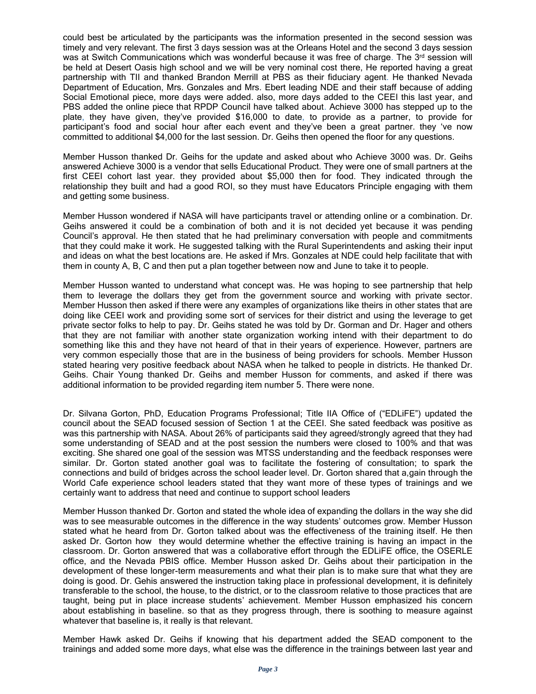could best be articulated by the participants was the information presented in the second session was timely and very relevant. The first 3 days session was at the Orleans Hotel and the second 3 days session was at Switch Communications which was wonderful because it was free of charge. The 3<sup>rd</sup> session will be held at Desert Oasis high school and we will be very nominal cost there, He reported having a great partnership with TII and thanked Brandon Merrill at PBS as their fiduciary agent. He thanked Nevada Department of Education, Mrs. Gonzales and Mrs. Ebert leading NDE and their staff because of adding Social Emotional piece, more days were added. also, more days added to the CEEI this last year, and PBS added the online piece that RPDP Council have talked about. Achieve 3000 has stepped up to the plate, they have given, they've provided \$16,000 to date, to provide as a partner, to provide for participant's food and social hour after each event and they've been a great partner. they 've now committed to additional \$4,000 for the last session. Dr. Geihs then opened the floor for any questions.

Member Husson thanked Dr. Geihs for the update and asked about who Achieve 3000 was. Dr. Geihs answered Achieve 3000 is a vendor that sells Educational Product. They were one of small partners at the first CEEI cohort last year. they provided about \$5,000 then for food. They indicated through the relationship they built and had a good ROI, so they must have Educators Principle engaging with them and getting some business.

Member Husson wondered if NASA will have participants travel or attending online or a combination. Dr. Geihs answered it could be a combination of both and it is not decided yet because it was pending Council's approval. He then stated that he had preliminary conversation with people and commitments that they could make it work. He suggested talking with the Rural Superintendents and asking their input and ideas on what the best locations are. He asked if Mrs. Gonzales at NDE could help facilitate that with them in county A, B, C and then put a plan together between now and June to take it to people.

Member Husson wanted to understand what concept was. He was hoping to see partnership that help them to leverage the dollars they get from the government source and working with private sector. Member Husson then asked if there were any examples of organizations like theirs in other states that are doing like CEEI work and providing some sort of services for their district and using the leverage to get private sector folks to help to pay. Dr. Geihs stated he was told by Dr. Gorman and Dr. Hager and others that they are not familiar with another state organization working intend with their department to do something like this and they have not heard of that in their years of experience. However, partners are very common especially those that are in the business of being providers for schools. Member Husson stated hearing very positive feedback about NASA when he talked to people in districts. He thanked Dr. Geihs. Chair Young thanked Dr. Geihs and member Husson for comments, and asked if there was additional information to be provided regarding item number 5. There were none.

Dr. Silvana Gorton, PhD, Education Programs Professional; Title IIA Office of ("EDLiFE") updated the council about the SEAD focused session of Section 1 at the CEEI. She sated feedback was positive as was this partnership with NASA. About 26% of participants said they agreed/strongly agreed that they had some understanding of SEAD and at the post session the numbers were closed to 100% and that was exciting. She shared one goal of the session was MTSS understanding and the feedback responses were similar. Dr. Gorton stated another goal was to facilitate the fostering of consultation; to spark the connections and build of bridges across the school leader level. Dr. Gorton shared that a,gain through the World Cafe experience school leaders stated that they want more of these types of trainings and we certainly want to address that need and continue to support school leaders

Member Husson thanked Dr. Gorton and stated the whole idea of expanding the dollars in the way she did was to see measurable outcomes in the difference in the way students' outcomes grow. Member Husson stated what he heard from Dr. Gorton talked about was the effectiveness of the training itself. He then asked Dr. Gorton how they would determine whether the effective training is having an impact in the classroom. Dr. Gorton answered that was a collaborative effort through the EDLiFE office, the OSERLE office, and the Nevada PBIS office. Member Husson asked Dr. Geihs about their participation in the development of these longer-term measurements and what their plan is to make sure that what they are doing is good. Dr. Gehis answered the instruction taking place in professional development, it is definitely transferable to the school, the house, to the district, or to the classroom relative to those practices that are taught, being put in place increase students' achievement. Member Husson emphasized his concern about establishing in baseline. so that as they progress through, there is soothing to measure against whatever that baseline is, it really is that relevant.

Member Hawk asked Dr. Geihs if knowing that his department added the SEAD component to the trainings and added some more days, what else was the difference in the trainings between last year and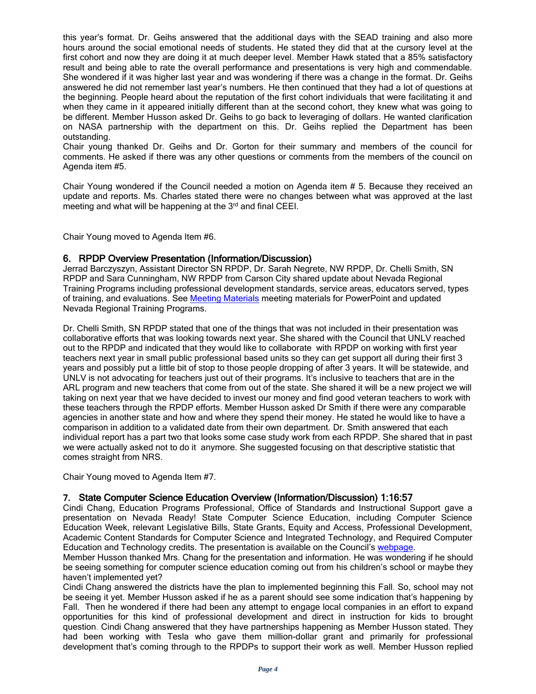this year's format. Dr. Geihs answered that the additional days with the SEAD training and also more hours around the social emotional needs of students. He stated they did that at the cursory level at the first cohort and now they are doing it at much deeper level. Member Hawk stated that a 85% satisfactory result and being able to rate the overall performance and presentations is very high and commendable. She wondered if it was higher last year and was wondering if there was a change in the format. Dr. Geihs answered he did not remember last year's numbers. He then continued that they had a lot of questions at the beginning. People heard about the reputation of the first cohort individuals that were facilitating it and when they came in it appeared initially different than at the second cohort, they knew what was going to be different. Member Husson asked Dr. Geihs to go back to leveraging of dollars. He wanted clarification on NASA partnership with the department on this. Dr. Geihs replied the Department has been outstanding.

Chair young thanked Dr. Geihs and Dr. Gorton for their summary and members of the council for comments. He asked if there was any other questions or comments from the members of the council on Agenda item #5.

Chair Young wondered if the Council needed a motion on Agenda item # 5. Because they received an update and reports. Ms. Charles stated there were no changes between what was approved at the last meeting and what will be happening at the 3<sup>rd</sup> and final CEEI.

Chair Young moved to Agenda Item #6.

#### 6. RPDP Overview Presentation (Information/Discussion)

Jerrad Barczyszyn, Assistant Director SN RPDP, Dr. Sarah Negrete, NW RPDP, Dr. Chelli Smith, SN RPDP and Sara Cunningham, NW RPDP from Carson City shared update about Nevada Regional Training Programs including professional development standards, service areas, educators served, types of training, and evaluations. See [Meeting Materials](http://www.doe.nv.gov/Boards_Commissions_Councils/Statewide_Council_Reg_Training/Meeting_Materials/) meeting materials for PowerPoint and updated Nevada Regional Training Programs.

Dr. Chelli Smith, SN RPDP stated that one of the things that was not included in their presentation was collaborative efforts that was looking towards next year. She shared with the Council that UNLV reached out to the RPDP and indicated that they would like to collaborate with RPDP on working with first year teachers next year in small public professional based units so they can get support all during their first 3 years and possibly put a little bit of stop to those people dropping of after 3 years. It will be statewide, and UNLV is not advocating for teachers just out of their programs. It's inclusive to teachers that are in the ARL program and new teachers that come from out of the state. She shared it will be a new project we will taking on next year that we have decided to invest our money and find good veteran teachers to work with these teachers through the RPDP efforts. Member Husson asked Dr Smith if there were any comparable agencies in another state and how and where they spend their money. He stated he would like to have a comparison in addition to a validated date from their own department. Dr. Smith answered that each individual report has a part two that looks some case study work from each RPDP. She shared that in past we were actually asked not to do it anymore. She suggested focusing on that descriptive statistic that comes straight from NRS.

Chair Young moved to Agenda Item #7.

#### 7. State Computer Science Education Overview (Information/Discussion) 1:16:57

Cindi Chang, Education Programs Professional, Office of Standards and Instructional Support gave a presentation on Nevada Ready! State Computer Science Education, including Computer Science Education Week, relevant Legislative Bills, State Grants, Equity and Access, Professional Development, Academic Content Standards for Computer Science and Integrated Technology, and Required Computer Education and Technology credits. The presentation is available on the Council's [webpage.](http://www.doe.nv.gov/Boards_Commissions_Councils/Statewide_Council_Reg_Training/Meeting_Materials/)

Member Husson thanked Mrs. Chang for the presentation and information. He was wondering if he should be seeing something for computer science education coming out from his children's school or maybe they haven't implemented yet?

Cindi Chang answered the districts have the plan to implemented beginning this Fall. So, school may not be seeing it yet. Member Husson asked if he as a parent should see some indication that's happening by Fall. Then he wondered if there had been any attempt to engage local companies in an effort to expand opportunities for this kind of professional development and direct in instruction for kids to brought question. Cindi Chang answered that they have partnerships happening as Member Husson stated. They had been working with Tesla who gave them million-dollar grant and primarily for professional development that's coming through to the RPDPs to support their work as well. Member Husson replied